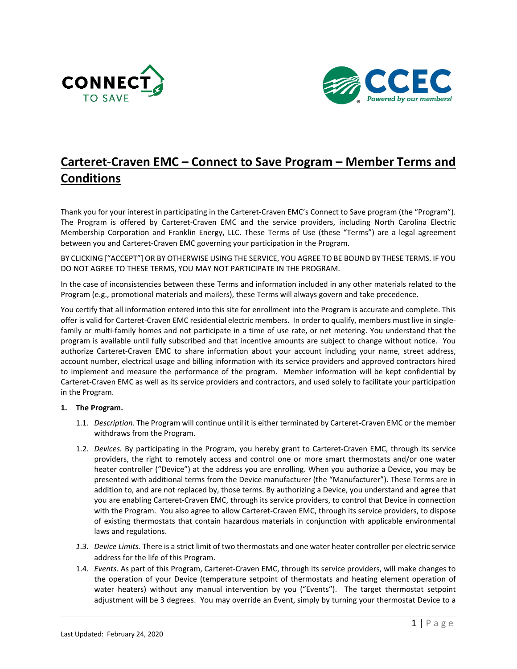



## **Carteret-Craven EMC – Connect to Save Program – Member Terms and Conditions**

Thank you for your interest in participating in the Carteret-Craven EMC's Connect to Save program (the "Program"). The Program is offered by Carteret-Craven EMC and the service providers, including North Carolina Electric Membership Corporation and Franklin Energy, LLC. These Terms of Use (these "Terms") are a legal agreement between you and Carteret-Craven EMC governing your participation in the Program.

BY CLICKING ["ACCEPT"] OR BY OTHERWISE USING THE SERVICE, YOU AGREE TO BE BOUND BY THESE TERMS. IF YOU DO NOT AGREE TO THESE TERMS, YOU MAY NOT PARTICIPATE IN THE PROGRAM.

In the case of inconsistencies between these Terms and information included in any other materials related to the Program (e.g., promotional materials and mailers), these Terms will always govern and take precedence.

You certify that all information entered into this site for enrollment into the Program is accurate and complete. This offer is valid for Carteret-Craven EMC residential electric members. In order to qualify, members must live in singlefamily or multi-family homes and not participate in a time of use rate, or net metering. You understand that the program is available until fully subscribed and that incentive amounts are subject to change without notice. You authorize Carteret-Craven EMC to share information about your account including your name, street address, account number, electrical usage and billing information with its service providers and approved contractors hired to implement and measure the performance of the program. Member information will be kept confidential by Carteret-Craven EMC as well as its service providers and contractors, and used solely to facilitate your participation in the Program.

## **1. The Program.**

- 1.1. *Description.* The Program will continue until it is either terminated by Carteret-Craven EMC or the member withdraws from the Program.
- 1.2. *Devices.* By participating in the Program, you hereby grant to Carteret-Craven EMC, through its service providers, the right to remotely access and control one or more smart thermostats and/or one water heater controller ("Device") at the address you are enrolling. When you authorize a Device, you may be presented with additional terms from the Device manufacturer (the "Manufacturer"). These Terms are in addition to, and are not replaced by, those terms. By authorizing a Device, you understand and agree that you are enabling Carteret-Craven EMC, through its service providers, to control that Device in connection with the Program. You also agree to allow Carteret-Craven EMC, through its service providers, to dispose of existing thermostats that contain hazardous materials in conjunction with applicable environmental laws and regulations.
- *1.3. Device Limits.* There is a strict limit of two thermostats and one water heater controller per electric service address for the life of this Program.
- 1.4. *Events.* As part of this Program, Carteret-Craven EMC, through its service providers, will make changes to the operation of your Device (temperature setpoint of thermostats and heating element operation of water heaters) without any manual intervention by you ("Events"). The target thermostat setpoint adjustment will be 3 degrees. You may override an Event, simply by turning your thermostat Device to a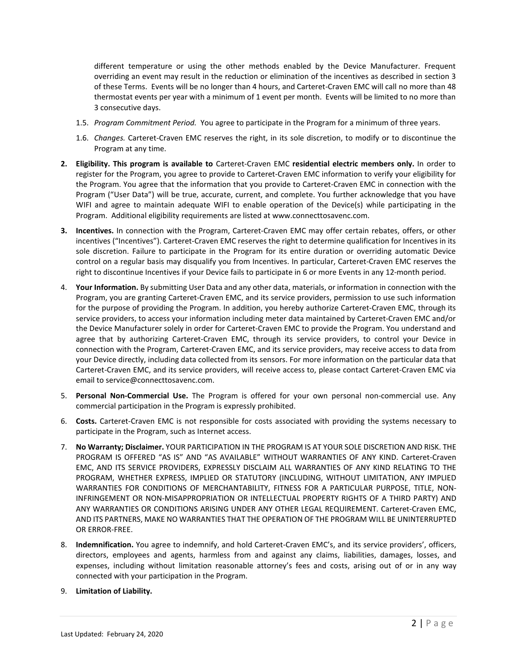different temperature or using the other methods enabled by the Device Manufacturer. Frequent overriding an event may result in the reduction or elimination of the incentives as described in section 3 of these Terms. Events will be no longer than 4 hours, and Carteret-Craven EMC will call no more than 48 thermostat events per year with a minimum of 1 event per month. Events will be limited to no more than 3 consecutive days.

- 1.5. *Program Commitment Period.* You agree to participate in the Program for a minimum of three years.
- 1.6. *Changes.* Carteret-Craven EMC reserves the right, in its sole discretion, to modify or to discontinue the Program at any time.
- **2. Eligibility. This program is available to** Carteret-Craven EMC **residential electric members only.** In order to register for the Program, you agree to provide to Carteret-Craven EMC information to verify your eligibility for the Program. You agree that the information that you provide to Carteret-Craven EMC in connection with the Program ("User Data") will be true, accurate, current, and complete. You further acknowledge that you have WIFI and agree to maintain adequate WIFI to enable operation of the Device(s) while participating in the Program. Additional eligibility requirements are listed at www.connecttosavenc.com.
- **3. Incentives.** In connection with the Program, Carteret-Craven EMC may offer certain rebates, offers, or other incentives ("Incentives"). Carteret-Craven EMC reserves the right to determine qualification for Incentives in its sole discretion. Failure to participate in the Program for its entire duration or overriding automatic Device control on a regular basis may disqualify you from Incentives. In particular, Carteret-Craven EMC reserves the right to discontinue Incentives if your Device fails to participate in 6 or more Events in any 12-month period.
- 4. **Your Information.** By submitting User Data and any other data, materials, or information in connection with the Program, you are granting Carteret-Craven EMC, and its service providers, permission to use such information for the purpose of providing the Program. In addition, you hereby authorize Carteret-Craven EMC, through its service providers, to access your information including meter data maintained by Carteret-Craven EMC and/or the Device Manufacturer solely in order for Carteret-Craven EMC to provide the Program. You understand and agree that by authorizing Carteret-Craven EMC, through its service providers, to control your Device in connection with the Program, Carteret-Craven EMC, and its service providers, may receive access to data from your Device directly, including data collected from its sensors. For more information on the particular data that Carteret-Craven EMC, and its service providers, will receive access to, please contact Carteret-Craven EMC via email to service@connecttosavenc.com.
- 5. **Personal Non-Commercial Use.** The Program is offered for your own personal non-commercial use. Any commercial participation in the Program is expressly prohibited.
- 6. **Costs.** Carteret-Craven EMC is not responsible for costs associated with providing the systems necessary to participate in the Program, such as Internet access.
- 7. **No Warranty; Disclaimer.** YOUR PARTICIPATION IN THE PROGRAM IS AT YOUR SOLE DISCRETION AND RISK. THE PROGRAM IS OFFERED "AS IS" AND "AS AVAILABLE" WITHOUT WARRANTIES OF ANY KIND. Carteret-Craven EMC, AND ITS SERVICE PROVIDERS, EXPRESSLY DISCLAIM ALL WARRANTIES OF ANY KIND RELATING TO THE PROGRAM, WHETHER EXPRESS, IMPLIED OR STATUTORY (INCLUDING, WITHOUT LIMITATION, ANY IMPLIED WARRANTIES FOR CONDITIONS OF MERCHANTABILITY, FITNESS FOR A PARTICULAR PURPOSE, TITLE, NON-INFRINGEMENT OR NON-MISAPPROPRIATION OR INTELLECTUAL PROPERTY RIGHTS OF A THIRD PARTY) AND ANY WARRANTIES OR CONDITIONS ARISING UNDER ANY OTHER LEGAL REQUIREMENT. Carteret-Craven EMC, AND ITS PARTNERS, MAKE NO WARRANTIES THAT THE OPERATION OF THE PROGRAM WILL BE UNINTERRUPTED OR ERROR-FREE.
- 8. **Indemnification.** You agree to indemnify, and hold Carteret-Craven EMC's, and its service providers', officers, directors, employees and agents, harmless from and against any claims, liabilities, damages, losses, and expenses, including without limitation reasonable attorney's fees and costs, arising out of or in any way connected with your participation in the Program.
- 9. **Limitation of Liability.**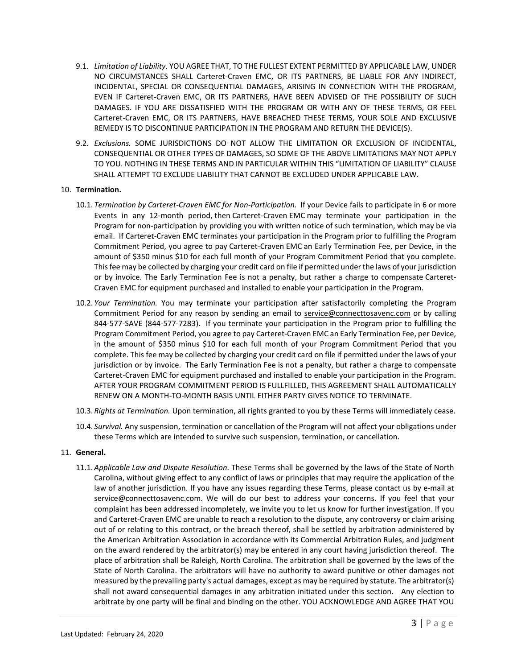- 9.1. *Limitation of Liability*. YOU AGREE THAT, TO THE FULLEST EXTENT PERMITTED BY APPLICABLE LAW, UNDER NO CIRCUMSTANCES SHALL Carteret-Craven EMC, OR ITS PARTNERS, BE LIABLE FOR ANY INDIRECT, INCIDENTAL, SPECIAL OR CONSEQUENTIAL DAMAGES, ARISING IN CONNECTION WITH THE PROGRAM, EVEN IF Carteret-Craven EMC, OR ITS PARTNERS, HAVE BEEN ADVISED OF THE POSSIBILITY OF SUCH DAMAGES. IF YOU ARE DISSATISFIED WITH THE PROGRAM OR WITH ANY OF THESE TERMS, OR FEEL Carteret-Craven EMC, OR ITS PARTNERS, HAVE BREACHED THESE TERMS, YOUR SOLE AND EXCLUSIVE REMEDY IS TO DISCONTINUE PARTICIPATION IN THE PROGRAM AND RETURN THE DEVICE(S).
- 9.2. *Exclusions.* SOME JURISDICTIONS DO NOT ALLOW THE LIMITATION OR EXCLUSION OF INCIDENTAL, CONSEQUENTIAL OR OTHER TYPES OF DAMAGES, SO SOME OF THE ABOVE LIMITATIONS MAY NOT APPLY TO YOU. NOTHING IN THESE TERMS AND IN PARTICULAR WITHIN THIS "LIMITATION OF LIABILITY" CLAUSE SHALL ATTEMPT TO EXCLUDE LIABILITY THAT CANNOT BE EXCLUDED UNDER APPLICABLE LAW.

## 10. **Termination.**

- 10.1. *Termination by Carteret-Craven EMC for Non-Participation.* If your Device fails to participate in 6 or more Events in any 12-month period, then Carteret-Craven EMC may terminate your participation in the Program for non-participation by providing you with written notice of such termination, which may be via email. If Carteret-Craven EMC terminates your participation in the Program prior to fulfilling the Program Commitment Period, you agree to pay Carteret-Craven EMC an Early Termination Fee, per Device, in the amount of \$350 minus \$10 for each full month of your Program Commitment Period that you complete. This fee may be collected by charging your credit card on file if permitted under the laws of your jurisdiction or by invoice. The Early Termination Fee is not a penalty, but rather a charge to compensate Carteret-Craven EMC for equipment purchased and installed to enable your participation in the Program.
- 10.2. *Your Termination.* You may terminate your participation after satisfactorily completing the Program Commitment Period for any reason by sending an email to [service@connecttosavenc.com](mailto:service@ncsmartsavings.com) or by calling 844-577-SAVE (844-577-7283). If you terminate your participation in the Program prior to fulfilling the Program Commitment Period, you agree to pay Carteret-Craven EMC an Early Termination Fee, per Device, in the amount of \$350 minus \$10 for each full month of your Program Commitment Period that you complete. This fee may be collected by charging your credit card on file if permitted under the laws of your jurisdiction or by invoice. The Early Termination Fee is not a penalty, but rather a charge to compensate Carteret-Craven EMC for equipment purchased and installed to enable your participation in the Program. AFTER YOUR PROGRAM COMMITMENT PERIOD IS FULLFILLED, THIS AGREEMENT SHALL AUTOMATICALLY RENEW ON A MONTH-TO-MONTH BASIS UNTIL EITHER PARTY GIVES NOTICE TO TERMINATE.
- 10.3. *Rights at Termination.* Upon termination, all rights granted to you by these Terms will immediately cease.
- 10.4. *Survival.* Any suspension, termination or cancellation of the Program will not affect your obligations under these Terms which are intended to survive such suspension, termination, or cancellation.

## 11. **General.**

11.1. *Applicable Law and Dispute Resolution.* These Terms shall be governed by the laws of the State of North Carolina, without giving effect to any conflict of laws or principles that may require the application of the law of another jurisdiction. If you have any issues regarding these Terms, please contact us by e-mail at service@connecttosavenc.com. We will do our best to address your concerns. If you feel that your complaint has been addressed incompletely, we invite you to let us know for further investigation. If you and Carteret-Craven EMC are unable to reach a resolution to the dispute, any controversy or claim arising out of or relating to this contract, or the breach thereof, shall be settled by arbitration administered by the American Arbitration Association in accordance with its Commercial Arbitration Rules, and judgment on the award rendered by the arbitrator(s) may be entered in any court having jurisdiction thereof. The place of arbitration shall be Raleigh, North Carolina. The arbitration shall be governed by the laws of the State of North Carolina. The arbitrators will have no authority to award punitive or other damages not measured by the prevailing party's actual damages, except as may be required by statute. The arbitrator(s) shall not award consequential damages in any arbitration initiated under this section. Any election to arbitrate by one party will be final and binding on the other. YOU ACKNOWLEDGE AND AGREE THAT YOU